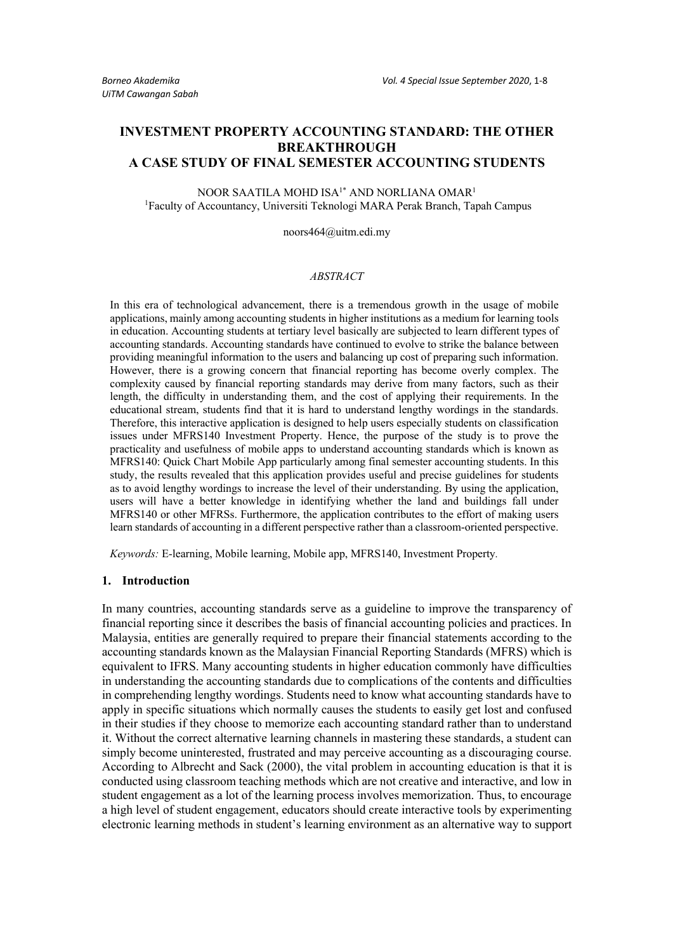# **INVESTMENT PROPERTY ACCOUNTING STANDARD: THE OTHER BREAKTHROUGH A CASE STUDY OF FINAL SEMESTER ACCOUNTING STUDENTS**

NOOR SAATILA MOHD ISA<sup>1\*</sup> AND NORLIANA OMAR<sup>1</sup> 1 Faculty of Accountancy, Universiti Teknologi MARA Perak Branch, Tapah Campus

noors464@uitm.edi.my

### *ABSTRACT*

In this era of technological advancement, there is a tremendous growth in the usage of mobile applications, mainly among accounting students in higher institutions as a medium for learning tools in education. Accounting students at tertiary level basically are subjected to learn different types of accounting standards. Accounting standards have continued to evolve to strike the balance between providing meaningful information to the users and balancing up cost of preparing such information. However, there is a growing concern that financial reporting has become overly complex. The complexity caused by financial reporting standards may derive from many factors, such as their length, the difficulty in understanding them, and the cost of applying their requirements. In the educational stream, students find that it is hard to understand lengthy wordings in the standards. Therefore, this interactive application is designed to help users especially students on classification issues under MFRS140 Investment Property. Hence, the purpose of the study is to prove the practicality and usefulness of mobile apps to understand accounting standards which is known as MFRS140: Quick Chart Mobile App particularly among final semester accounting students. In this study, the results revealed that this application provides useful and precise guidelines for students as to avoid lengthy wordings to increase the level of their understanding. By using the application, users will have a better knowledge in identifying whether the land and buildings fall under MFRS140 or other MFRSs. Furthermore, the application contributes to the effort of making users learn standards of accounting in a different perspective rather than a classroom-oriented perspective.

*Keywords:* E-learning, Mobile learning, Mobile app, MFRS140, Investment Property*.*

#### **1. Introduction**

In many countries, accounting standards serve as a guideline to improve the transparency of financial reporting since it describes the basis of financial accounting policies and practices. In Malaysia, entities are generally required to prepare their financial statements according to the accounting standards known as the Malaysian Financial Reporting Standards (MFRS) which is equivalent to IFRS. Many accounting students in higher education commonly have difficulties in understanding the accounting standards due to complications of the contents and difficulties in comprehending lengthy wordings. Students need to know what accounting standards have to apply in specific situations which normally causes the students to easily get lost and confused in their studies if they choose to memorize each accounting standard rather than to understand it. Without the correct alternative learning channels in mastering these standards, a student can simply become uninterested, frustrated and may perceive accounting as a discouraging course. According to Albrecht and Sack (2000), the vital problem in accounting education is that it is conducted using classroom teaching methods which are not creative and interactive, and low in student engagement as a lot of the learning process involves memorization. Thus, to encourage a high level of student engagement, educators should create interactive tools by experimenting electronic learning methods in student's learning environment as an alternative way to support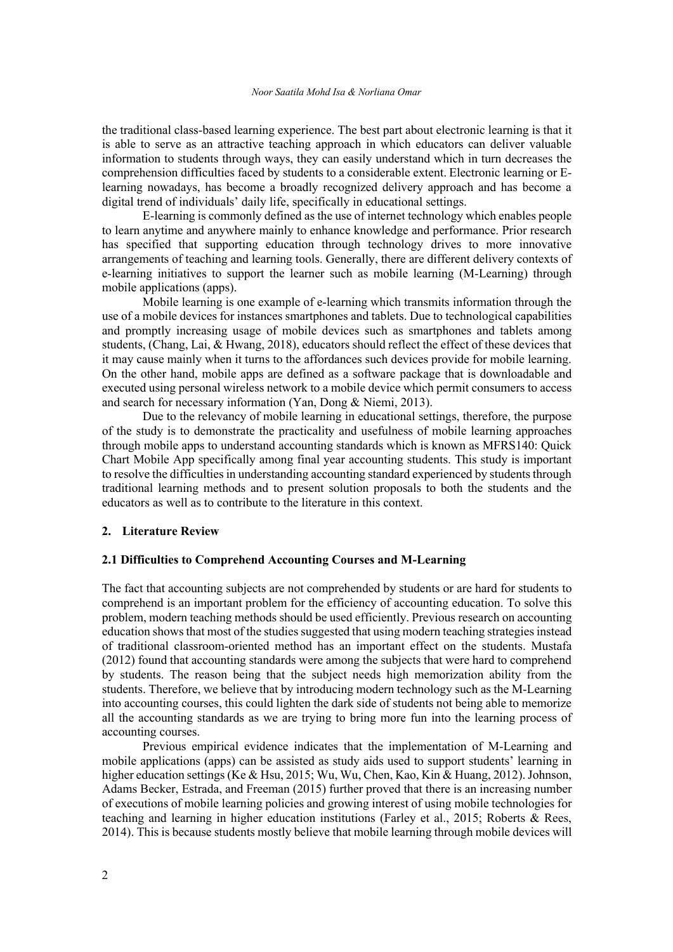the traditional class-based learning experience. The best part about electronic learning is that it is able to serve as an attractive teaching approach in which educators can deliver valuable information to students through ways, they can easily understand which in turn decreases the comprehension difficulties faced by students to a considerable extent. Electronic learning or Elearning nowadays, has become a broadly recognized delivery approach and has become a digital trend of individuals' daily life, specifically in educational settings.

E-learning is commonly defined as the use of internet technology which enables people to learn anytime and anywhere mainly to enhance knowledge and performance. Prior research has specified that supporting education through technology drives to more innovative arrangements of teaching and learning tools. Generally, there are different delivery contexts of e-learning initiatives to support the learner such as mobile learning (M-Learning) through mobile applications (apps).

Mobile learning is one example of e-learning which transmits information through the use of a mobile devices for instances smartphones and tablets. Due to technological capabilities and promptly increasing usage of mobile devices such as smartphones and tablets among students, (Chang, Lai, & Hwang, 2018), educators should reflect the effect of these devices that it may cause mainly when it turns to the affordances such devices provide for mobile learning. On the other hand, mobile apps are defined as a software package that is downloadable and executed using personal wireless network to a mobile device which permit consumers to access and search for necessary information (Yan, Dong & Niemi, 2013).

Due to the relevancy of mobile learning in educational settings, therefore, the purpose of the study is to demonstrate the practicality and usefulness of mobile learning approaches through mobile apps to understand accounting standards which is known as MFRS140: Quick Chart Mobile App specifically among final year accounting students. This study is important to resolve the difficulties in understanding accounting standard experienced by students through traditional learning methods and to present solution proposals to both the students and the educators as well as to contribute to the literature in this context.

#### **2. Literature Review**

## **2.1 Difficulties to Comprehend Accounting Courses and M-Learning**

The fact that accounting subjects are not comprehended by students or are hard for students to comprehend is an important problem for the efficiency of accounting education. To solve this problem, modern teaching methods should be used efficiently. Previous research on accounting education shows that most of the studies suggested that using modern teaching strategies instead of traditional classroom-oriented method has an important effect on the students. Mustafa (2012) found that accounting standards were among the subjects that were hard to comprehend by students. The reason being that the subject needs high memorization ability from the students. Therefore, we believe that by introducing modern technology such as the M-Learning into accounting courses, this could lighten the dark side of students not being able to memorize all the accounting standards as we are trying to bring more fun into the learning process of accounting courses.

Previous empirical evidence indicates that the implementation of M-Learning and mobile applications (apps) can be assisted as study aids used to support students' learning in higher education settings (Ke & Hsu, 2015; Wu, Wu, Chen, Kao, Kin & Huang, 2012). Johnson, Adams Becker, Estrada, and Freeman (2015) further proved that there is an increasing number of executions of mobile learning policies and growing interest of using mobile technologies for teaching and learning in higher education institutions (Farley et al., 2015; Roberts & Rees, 2014). This is because students mostly believe that mobile learning through mobile devices will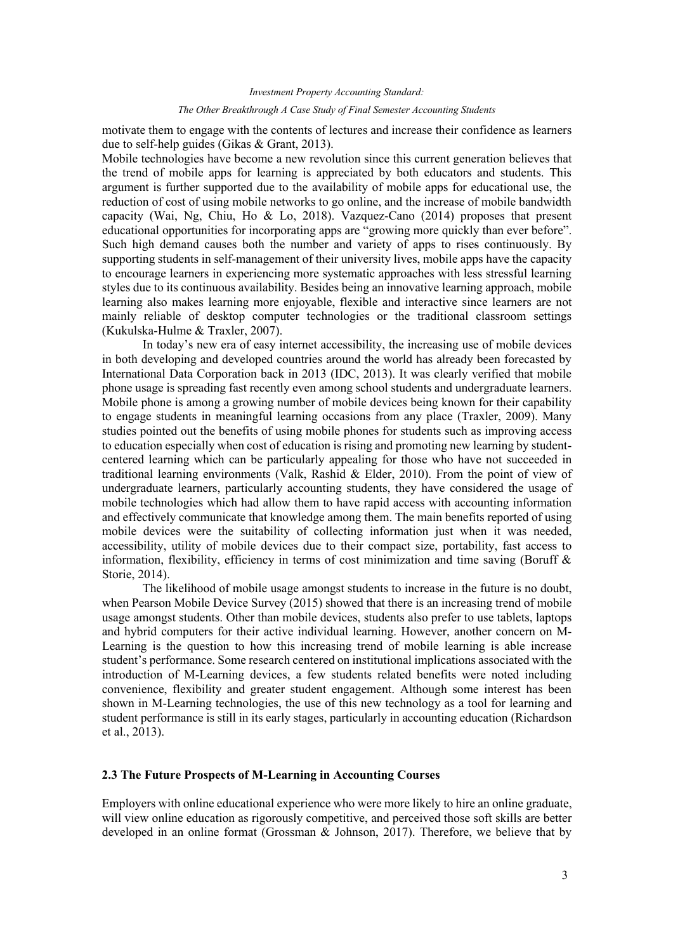# *Investment Property Accounting Standard: The Other Breakthrough A Case Study of Final Semester Accounting Students*

motivate them to engage with the contents of lectures and increase their confidence as learners due to self-help guides (Gikas & Grant, 2013).

Mobile technologies have become a new revolution since this current generation believes that the trend of mobile apps for learning is appreciated by both educators and students. This argument is further supported due to the availability of mobile apps for educational use, the reduction of cost of using mobile networks to go online, and the increase of mobile bandwidth capacity (Wai, Ng, Chiu, Ho & Lo, 2018). Vazquez-Cano (2014) proposes that present educational opportunities for incorporating apps are "growing more quickly than ever before". Such high demand causes both the number and variety of apps to rises continuously. By supporting students in self-management of their university lives, mobile apps have the capacity to encourage learners in experiencing more systematic approaches with less stressful learning styles due to its continuous availability. Besides being an innovative learning approach, mobile learning also makes learning more enjoyable, flexible and interactive since learners are not mainly reliable of desktop computer technologies or the traditional classroom settings (Kukulska-Hulme & Traxler, 2007).

In today's new era of easy internet accessibility, the increasing use of mobile devices in both developing and developed countries around the world has already been forecasted by International Data Corporation back in 2013 (IDC, 2013). It was clearly verified that mobile phone usage is spreading fast recently even among school students and undergraduate learners. Mobile phone is among a growing number of mobile devices being known for their capability to engage students in meaningful learning occasions from any place (Traxler, 2009). Many studies pointed out the benefits of using mobile phones for students such as improving access to education especially when cost of education is rising and promoting new learning by studentcentered learning which can be particularly appealing for those who have not succeeded in traditional learning environments (Valk, Rashid & Elder, 2010). From the point of view of undergraduate learners, particularly accounting students, they have considered the usage of mobile technologies which had allow them to have rapid access with accounting information and effectively communicate that knowledge among them. The main benefits reported of using mobile devices were the suitability of collecting information just when it was needed, accessibility, utility of mobile devices due to their compact size, portability, fast access to information, flexibility, efficiency in terms of cost minimization and time saving (Boruff & Storie, 2014).

The likelihood of mobile usage amongst students to increase in the future is no doubt, when Pearson Mobile Device Survey (2015) showed that there is an increasing trend of mobile usage amongst students. Other than mobile devices, students also prefer to use tablets, laptops and hybrid computers for their active individual learning. However, another concern on M-Learning is the question to how this increasing trend of mobile learning is able increase student's performance. Some research centered on institutional implications associated with the introduction of M-Learning devices, a few students related benefits were noted including convenience, flexibility and greater student engagement. Although some interest has been shown in M-Learning technologies, the use of this new technology as a tool for learning and student performance is still in its early stages, particularly in accounting education (Richardson et al., 2013).

## **2.3 The Future Prospects of M-Learning in Accounting Courses**

Employers with online educational experience who were more likely to hire an online graduate, will view online education as rigorously competitive, and perceived those soft skills are better developed in an online format (Grossman & Johnson, 2017). Therefore, we believe that by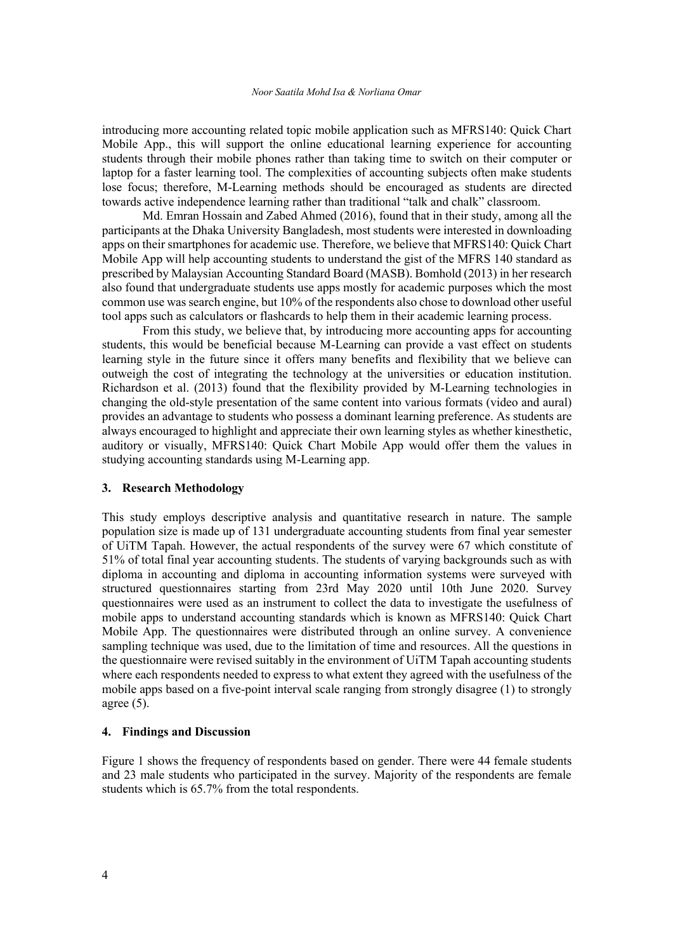introducing more accounting related topic mobile application such as MFRS140: Quick Chart Mobile App., this will support the online educational learning experience for accounting students through their mobile phones rather than taking time to switch on their computer or laptop for a faster learning tool. The complexities of accounting subjects often make students lose focus; therefore, M-Learning methods should be encouraged as students are directed towards active independence learning rather than traditional "talk and chalk" classroom.

Md. Emran Hossain and Zabed Ahmed (2016), found that in their study, among all the participants at the Dhaka University Bangladesh, most students were interested in downloading apps on their smartphones for academic use. Therefore, we believe that MFRS140: Quick Chart Mobile App will help accounting students to understand the gist of the MFRS 140 standard as prescribed by Malaysian Accounting Standard Board (MASB). Bomhold (2013) in her research also found that undergraduate students use apps mostly for academic purposes which the most common use was search engine, but 10% of the respondents also chose to download other useful tool apps such as calculators or flashcards to help them in their academic learning process.

From this study, we believe that, by introducing more accounting apps for accounting students, this would be beneficial because M-Learning can provide a vast effect on students learning style in the future since it offers many benefits and flexibility that we believe can outweigh the cost of integrating the technology at the universities or education institution. Richardson et al. (2013) found that the flexibility provided by M-Learning technologies in changing the old-style presentation of the same content into various formats (video and aural) provides an advantage to students who possess a dominant learning preference. As students are always encouraged to highlight and appreciate their own learning styles as whether kinesthetic, auditory or visually, MFRS140: Quick Chart Mobile App would offer them the values in studying accounting standards using M-Learning app.

#### **3. Research Methodology**

This study employs descriptive analysis and quantitative research in nature. The sample population size is made up of 131 undergraduate accounting students from final year semester of UiTM Tapah. However, the actual respondents of the survey were 67 which constitute of 51% of total final year accounting students. The students of varying backgrounds such as with diploma in accounting and diploma in accounting information systems were surveyed with structured questionnaires starting from 23rd May 2020 until 10th June 2020. Survey questionnaires were used as an instrument to collect the data to investigate the usefulness of mobile apps to understand accounting standards which is known as MFRS140: Quick Chart Mobile App. The questionnaires were distributed through an online survey. A convenience sampling technique was used, due to the limitation of time and resources. All the questions in the questionnaire were revised suitably in the environment of UiTM Tapah accounting students where each respondents needed to express to what extent they agreed with the usefulness of the mobile apps based on a five-point interval scale ranging from strongly disagree (1) to strongly agree  $(5)$ .

### **4. Findings and Discussion**

Figure 1 shows the frequency of respondents based on gender. There were 44 female students and 23 male students who participated in the survey. Majority of the respondents are female students which is 65.7% from the total respondents.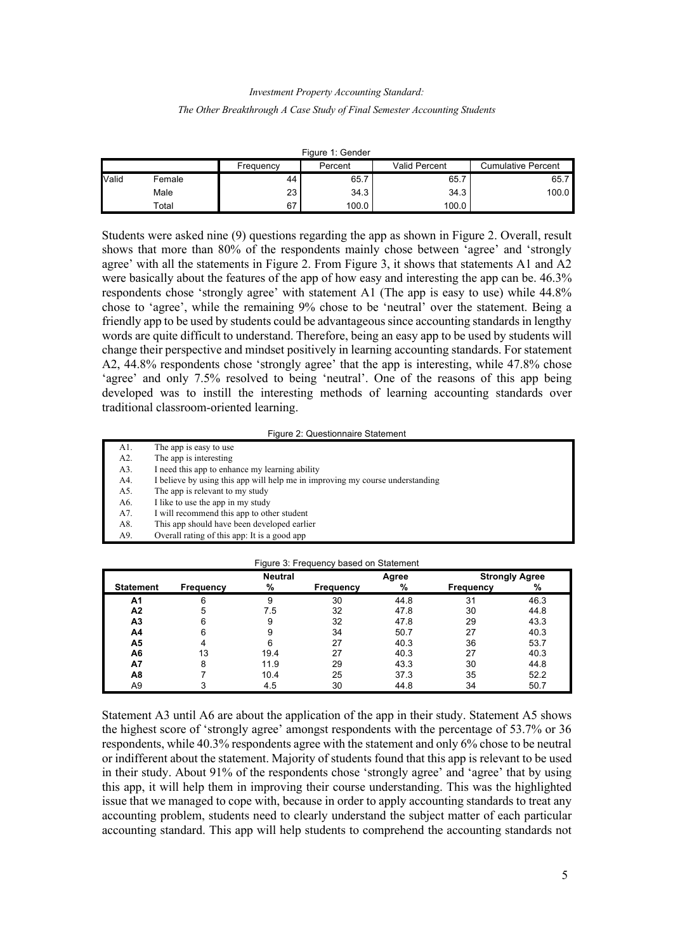# *Investment Property Accounting Standard: The Other Breakthrough A Case Study of Final Semester Accounting Students*

| Figure 1: Gender |        |                      |       |               |                           |  |  |  |  |
|------------------|--------|----------------------|-------|---------------|---------------------------|--|--|--|--|
|                  |        | Percent<br>Frequency |       | Valid Percent | <b>Cumulative Percent</b> |  |  |  |  |
| <b>Valid</b>     | Female | 44                   | 65.7  | 65.           | 65.7                      |  |  |  |  |
|                  | Male   | 23                   | 34.3  | 34.3          | 100.0                     |  |  |  |  |
|                  | Total  | 67                   | 100.0 | 100.0         |                           |  |  |  |  |

Students were asked nine (9) questions regarding the app as shown in Figure 2. Overall, result shows that more than 80% of the respondents mainly chose between 'agree' and 'strongly agree' with all the statements in Figure 2. From Figure 3, it shows that statements A1 and A2 were basically about the features of the app of how easy and interesting the app can be. 46.3% respondents chose 'strongly agree' with statement A1 (The app is easy to use) while 44.8% chose to 'agree', while the remaining 9% chose to be 'neutral' over the statement. Being a friendly app to be used by students could be advantageous since accounting standards in lengthy words are quite difficult to understand. Therefore, being an easy app to be used by students will change their perspective and mindset positively in learning accounting standards. For statement A2, 44.8% respondents chose 'strongly agree' that the app is interesting, while 47.8% chose 'agree' and only 7.5% resolved to being 'neutral'. One of the reasons of this app being developed was to instill the interesting methods of learning accounting standards over traditional classroom-oriented learning.

Figure 2: Questionnaire Statement

- A1. The app is easy to use A2. The app is interesting A3. I need this app to enhance my learning ability A4. I believe by using this app will help me in improving my course understanding A5. The app is relevant to my study A6. I like to use the app in my study A7. I will recommend this app to other student A8. This app should have been developed earlier
	- A9. Overall rating of this app: It is a good app

| Figure 3: Frequency based on Statement |                  |                |                  |       |                       |      |  |  |  |
|----------------------------------------|------------------|----------------|------------------|-------|-----------------------|------|--|--|--|
|                                        |                  | <b>Neutral</b> |                  | Agree | <b>Strongly Agree</b> |      |  |  |  |
| <b>Statement</b>                       | <b>Frequency</b> | %              | <b>Frequency</b> | %     | Frequency             | %    |  |  |  |
| A1                                     | 6                | 9              | 30               | 44.8  | 31                    | 46.3 |  |  |  |
| A2                                     | 5                | 7.5            | 32               | 47.8  | 30                    | 44.8 |  |  |  |
| A <sub>3</sub>                         | 6                | 9              | 32               | 47.8  | 29                    | 43.3 |  |  |  |
| A4                                     | 6                | 9              | 34               | 50.7  | 27                    | 40.3 |  |  |  |
| А5                                     |                  | 6              | 27               | 40.3  | 36                    | 53.7 |  |  |  |
| A6                                     | 13               | 19.4           | 27               | 40.3  | 27                    | 40.3 |  |  |  |
| A7                                     | 8                | 11.9           | 29               | 43.3  | 30                    | 44.8 |  |  |  |
| A8                                     |                  | 10.4           | 25               | 37.3  | 35                    | 52.2 |  |  |  |
| A9                                     |                  | 4.5            | 30               | 44.8  | 34                    | 50.7 |  |  |  |

Statement A3 until A6 are about the application of the app in their study. Statement A5 shows the highest score of 'strongly agree' amongst respondents with the percentage of 53.7% or 36 respondents, while 40.3% respondents agree with the statement and only 6% chose to be neutral or indifferent about the statement. Majority of students found that this app is relevant to be used in their study. About 91% of the respondents chose 'strongly agree' and 'agree' that by using this app, it will help them in improving their course understanding. This was the highlighted issue that we managed to cope with, because in order to apply accounting standards to treat any accounting problem, students need to clearly understand the subject matter of each particular accounting standard. This app will help students to comprehend the accounting standards not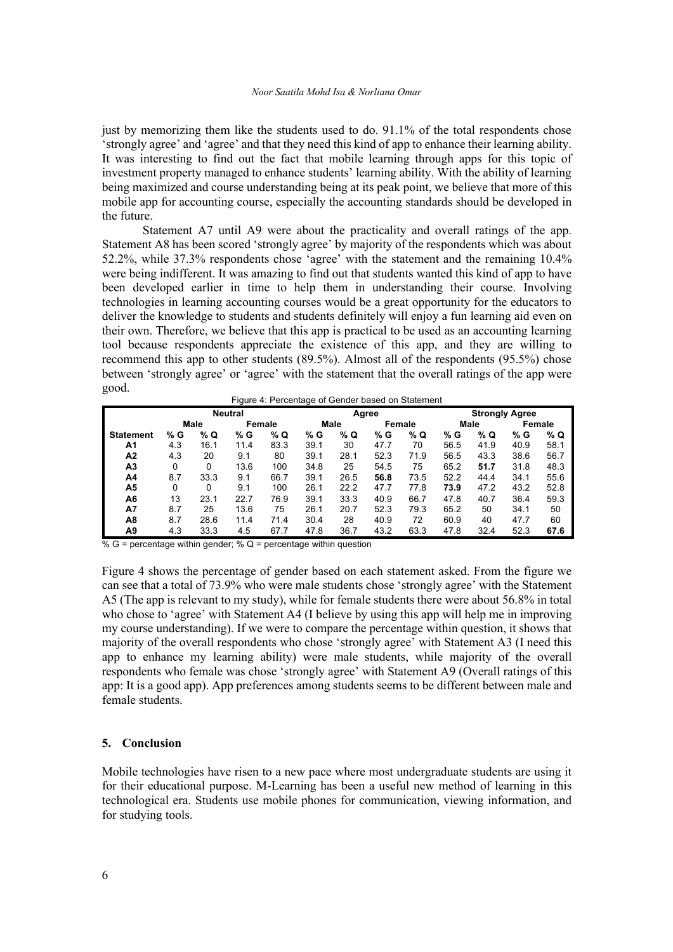#### *Noor Saatila Mohd Isa & Norliana Omar*

just by memorizing them like the students used to do. 91.1% of the total respondents chose 'strongly agree' and 'agree' and that they need this kind of app to enhance their learning ability. It was interesting to find out the fact that mobile learning through apps for this topic of investment property managed to enhance students' learning ability. With the ability of learning being maximized and course understanding being at its peak point, we believe that more of this mobile app for accounting course, especially the accounting standards should be developed in the future.

Statement A7 until A9 were about the practicality and overall ratings of the app. Statement A8 has been scored 'strongly agree' by majority of the respondents which was about 52.2%, while 37.3% respondents chose 'agree' with the statement and the remaining 10.4% were being indifferent. It was amazing to find out that students wanted this kind of app to have been developed earlier in time to help them in understanding their course. Involving technologies in learning accounting courses would be a great opportunity for the educators to deliver the knowledge to students and students definitely will enjoy a fun learning aid even on their own. Therefore, we believe that this app is practical to be used as an accounting learning tool because respondents appreciate the existence of this app, and they are willing to recommend this app to other students (89.5%). Almost all of the respondents (95.5%) chose between 'strongly agree' or 'agree' with the statement that the overall ratings of the app were good.

| Noutral | Aaroo                                             |  |
|---------|---------------------------------------------------|--|
|         | Figure 4: Percentage of Gender based on Statement |  |

| <b>Neutral</b>   |      |      |        |      |      |      | Agree  |      | <b>Strongly Agree</b> |      |        |      |
|------------------|------|------|--------|------|------|------|--------|------|-----------------------|------|--------|------|
|                  | Male |      | Female |      | Male |      | Female |      | Male                  |      | Female |      |
| <b>Statement</b> | % G  | % Q  | % G    | % Q  | % G  | % Q  | % G    | % Q  | % G                   | % Q  | % G    | % Q  |
| A1               | 4.3  | 16.1 | 11.4   | 83.3 | 39.1 | 30   | 47.7   | 70   | 56.5                  | 41.9 | 40.9   | 58.1 |
| A2               | 4.3  | 20   | 9.1    | 80   | 39.1 | 28.1 | 52.3   | 71.9 | 56.5                  | 43.3 | 38.6   | 56.7 |
| A3               | 0    | 0    | 13.6   | 100  | 34.8 | 25   | 54.5   | 75   | 65.2                  | 51.7 | 31.8   | 48.3 |
| A4               | 8.7  | 33.3 | 9.1    | 66.7 | 39.1 | 26.5 | 56.8   | 73.5 | 52.2                  | 44.4 | 34.1   | 55.6 |
| Α5               | 0    | 0    | 9.1    | 100  | 26.1 | 22.2 | 47.7   | 77.8 | 73.9                  | 47.2 | 43.2   | 52.8 |
| A6               | 13   | 23.1 | 22.7   | 76.9 | 39.1 | 33.3 | 40.9   | 66.7 | 47.8                  | 40.7 | 36.4   | 59.3 |
| A7               | 8.7  | 25   | 13.6   | 75   | 26.1 | 20.7 | 52.3   | 79.3 | 65.2                  | 50   | 34.1   | 50   |
| A8               | 8.7  | 28.6 | 11.4   | 71.4 | 30.4 | 28   | 40.9   | 72   | 60.9                  | 40   | 47.7   | 60   |
| Α9               | 4.3  | 33.3 | 4.5    | 67.7 | 47.8 | 36.7 | 43.2   | 63.3 | 47.8                  | 32.4 | 52.3   | 67.6 |

 $\% G$  = percentage within gender; % Q = percentage within question

Figure 4 shows the percentage of gender based on each statement asked. From the figure we can see that a total of 73.9% who were male students chose 'strongly agree' with the Statement A5 (The app is relevant to my study), while for female students there were about 56.8% in total who chose to 'agree' with Statement A4 (I believe by using this app will help me in improving my course understanding). If we were to compare the percentage within question, it shows that majority of the overall respondents who chose 'strongly agree' with Statement A3 (I need this app to enhance my learning ability) were male students, while majority of the overall respondents who female was chose 'strongly agree' with Statement A9 (Overall ratings of this app: It is a good app). App preferences among students seems to be different between male and female students.

### **5. Conclusion**

Mobile technologies have risen to a new pace where most undergraduate students are using it for their educational purpose. M-Learning has been a useful new method of learning in this technological era. Students use mobile phones for communication, viewing information, and for studying tools.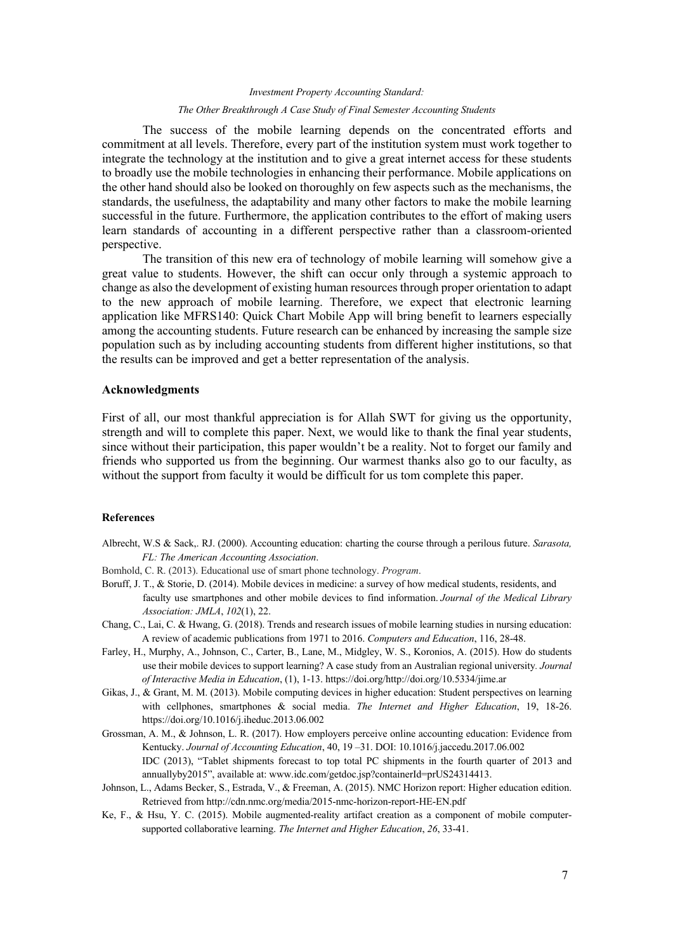# *Investment Property Accounting Standard: The Other Breakthrough A Case Study of Final Semester Accounting Students*

The success of the mobile learning depends on the concentrated efforts and commitment at all levels. Therefore, every part of the institution system must work together to integrate the technology at the institution and to give a great internet access for these students to broadly use the mobile technologies in enhancing their performance. Mobile applications on the other hand should also be looked on thoroughly on few aspects such as the mechanisms, the standards, the usefulness, the adaptability and many other factors to make the mobile learning successful in the future. Furthermore, the application contributes to the effort of making users learn standards of accounting in a different perspective rather than a classroom-oriented perspective.

The transition of this new era of technology of mobile learning will somehow give a great value to students. However, the shift can occur only through a systemic approach to change as also the development of existing human resources through proper orientation to adapt to the new approach of mobile learning. Therefore, we expect that electronic learning application like MFRS140: Quick Chart Mobile App will bring benefit to learners especially among the accounting students. Future research can be enhanced by increasing the sample size population such as by including accounting students from different higher institutions, so that the results can be improved and get a better representation of the analysis.

#### **Acknowledgments**

First of all, our most thankful appreciation is for Allah SWT for giving us the opportunity, strength and will to complete this paper. Next, we would like to thank the final year students, since without their participation, this paper wouldn't be a reality. Not to forget our family and friends who supported us from the beginning. Our warmest thanks also go to our faculty, as without the support from faculty it would be difficult for us tom complete this paper.

## **References**

- Albrecht, W.S & Sack,. RJ. (2000). Accounting education: charting the course through a perilous future. *Sarasota, FL: The American Accounting Association*.
- Bomhold, C. R. (2013). Educational use of smart phone technology. *Program*.
- Boruff, J. T., & Storie, D. (2014). Mobile devices in medicine: a survey of how medical students, residents, and faculty use smartphones and other mobile devices to find information. *Journal of the Medical Library Association: JMLA*, *102*(1), 22.
- Chang, C., Lai, C. & Hwang, G. (2018). Trends and research issues of mobile learning studies in nursing education: A review of academic publications from 1971 to 2016. *Computers and Education*, 116, 28-48.
- Farley, H., Murphy, A., Johnson, C., Carter, B., Lane, M., Midgley, W. S., Koronios, A. (2015). How do students use their mobile devices to support learning? A case study from an Australian regional university*. Journal of Interactive Media in Education*, (1), 1-13. https://doi.org/http://doi.org/10.5334/jime.ar
- Gikas, J., & Grant, M. M. (2013). Mobile computing devices in higher education: Student perspectives on learning with cellphones, smartphones & social media. *The Internet and Higher Education*, 19, 18-26. https://doi.org/10.1016/j.iheduc.2013.06.002
- Grossman, A. M., & Johnson, L. R. (2017). How employers perceive online accounting education: Evidence from Kentucky. *Journal of Accounting Education*, 40, 19 –31. DOI: 10.1016/j.jaccedu.2017.06.002 IDC (2013), "Tablet shipments forecast to top total PC shipments in the fourth quarter of 2013 and annuallyby2015", available at: www.idc.com/getdoc.jsp?containerId=prUS24314413.
- Johnson, L., Adams Becker, S., Estrada, V., & Freeman, A. (2015). NMC Horizon report: Higher education edition. Retrieved from http://cdn.nmc.org/media/2015-nmc-horizon-report-HE-EN.pdf
- Ke, F., & Hsu, Y. C. (2015). Mobile augmented-reality artifact creation as a component of mobile computersupported collaborative learning. *The Internet and Higher Education*, *26*, 33-41.